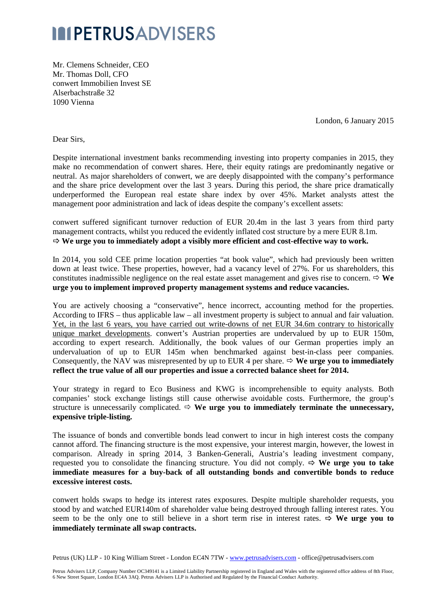## **IMPETRUSADVISERS**

Mr. Clemens Schneider, CEO Mr. Thomas Doll, CFO conwert Immobilien Invest SE Alserbachstraße 32 1090 Vienna

London, 6 January 2015

Dear Sirs,

Despite international investment banks recommending investing into property companies in 2015, they make no recommendation of conwert shares. Here, their equity ratings are predominantly negative or neutral. As major shareholders of conwert, we are deeply disappointed with the company's performance and the share price development over the last 3 years. During this period, the share price dramatically underperformed the European real estate share index by over 45%. Market analysts attest the management poor administration and lack of ideas despite the company's excellent assets:

conwert suffered significant turnover reduction of EUR 20.4m in the last 3 years from third party management contracts, whilst you reduced the evidently inflated cost structure by a mere EUR 8.1m.  $\Rightarrow$  We urge you to immediately adopt a visibly more efficient and cost-effective way to work.

In 2014, you sold CEE prime location properties "at book value", which had previously been written down at least twice. These properties, however, had a vacancy level of 27%. For us shareholders, this constitutes inadmissible negligence on the real estate asset management and gives rise to concern.  $\Rightarrow$  We **urge you to implement improved property management systems and reduce vacancies.**

You are actively choosing a "conservative", hence incorrect, accounting method for the properties. According to IFRS – thus applicable law – all investment property is subject to annual and fair valuation. Yet, in the last 6 years, you have carried out write-downs of net EUR 34.6m contrary to historically unique market developments. conwert's Austrian properties are undervalued by up to EUR 150m, according to expert research. Additionally, the book values of our German properties imply an undervaluation of up to EUR 145m when benchmarked against best-in-class peer companies. Consequently, the NAV was misrepresented by up to EUR 4 per share.  $\Leftrightarrow$  **We urge you to immediately reflect the true value of all our properties and issue a corrected balance sheet for 2014.**

Your strategy in regard to Eco Business and KWG is incomprehensible to equity analysts. Both companies' stock exchange listings still cause otherwise avoidable costs. Furthermore, the group's structure is unnecessarily complicated.  $\Leftrightarrow$  We urge you to immediately terminate the unnecessary, **expensive triple-listing.**

The issuance of bonds and convertible bonds lead conwert to incur in high interest costs the company cannot afford. The financing structure is the most expensive, your interest margin, however, the lowest in comparison. Already in spring 2014, 3 Banken-Generali, Austria's leading investment company, requested you to consolidate the financing structure. You did not comply.  $\Rightarrow$  We urge you to take **immediate measures for a buy-back of all outstanding bonds and convertible bonds to reduce excessive interest costs.** 

conwert holds swaps to hedge its interest rates exposures. Despite multiple shareholder requests, you stood by and watched EUR140m of shareholder value being destroyed through falling interest rates. You seem to be the only one to still believe in a short term rise in interest rates.  $\Rightarrow$  We urge you to **immediately terminate all swap contracts.**

Petrus (UK) LLP - 10 King William Street - London EC4N 7TW - www.petrusadvisers.com - office@petrusadvisers.com